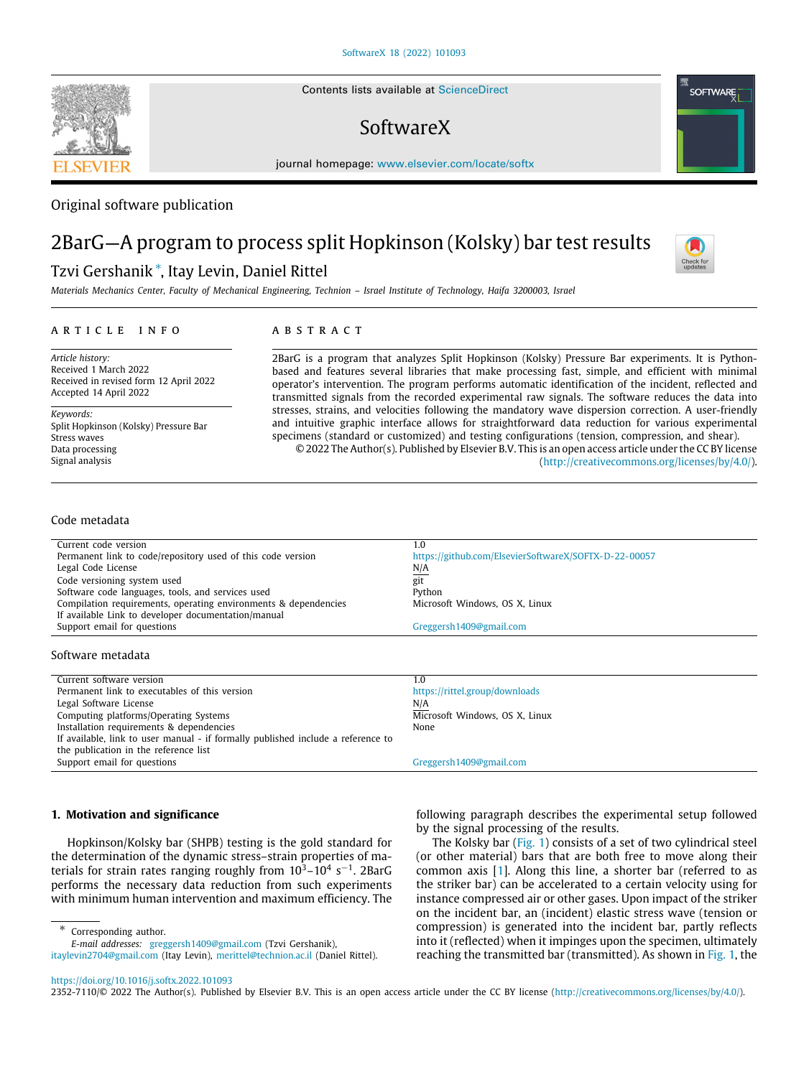Contents lists available at [ScienceDirect](http://www.elsevier.com/locate/softx)

# SoftwareX

journal homepage: [www.elsevier.com/locate/softx](http://www.elsevier.com/locate/softx)

# Original software publication

# 2BarG—A program to process split Hopkinson (Kolsky) bar test results

# Tzvi Gershanik [∗](#page-0-0) , Itay Levin, Daniel Rittel

*Materials Mechanics Center, Faculty of Mechanical Engineering, Technion – Israel Institute of Technology, Haifa 3200003, Israel*

### a r t i c l e i n f o

# A B S T R A C T

*Article history:* Received 1 March 2022 Received in revised form 12 April 2022 Accepted 14 April 2022

*Keywords:* Split Hopkinson (Kolsky) Pressure Bar Stress waves Data processing Signal analysis

2BarG is a program that analyzes Split Hopkinson (Kolsky) Pressure Bar experiments. It is Pythonbased and features several libraries that make processing fast, simple, and efficient with minimal operator's intervention. The program performs automatic identification of the incident, reflected and transmitted signals from the recorded experimental raw signals. The software reduces the data into stresses, strains, and velocities following the mandatory wave dispersion correction. A user-friendly and intuitive graphic interface allows for straightforward data reduction for various experimental specimens (standard or customized) and testing configurations (tension, compression, and shear). © 2022 The Author(s). Published by Elsevier B.V. This is an open access article under the CC BY license

[\(http://creativecommons.org/licenses/by/4.0/](http://creativecommons.org/licenses/by/4.0/)).

### Code metadata

| Current code version                                            | 1.0                                                   |
|-----------------------------------------------------------------|-------------------------------------------------------|
| Permanent link to code/repository used of this code version     | https://github.com/ElsevierSoftwareX/SOFTX-D-22-00057 |
| Legal Code License                                              | N/A                                                   |
| Code versioning system used                                     | git                                                   |
| Software code languages, tools, and services used               | Python                                                |
| Compilation requirements, operating environments & dependencies | Microsoft Windows, OS X, Linux                        |
| If available Link to developer documentation/manual             |                                                       |
| Support email for questions                                     | Greggersh1409@gmail.com                               |
|                                                                 |                                                       |

### Software metadata

| Current software version                                                         | 1.0                            |
|----------------------------------------------------------------------------------|--------------------------------|
| Permanent link to executables of this version                                    | https://rittel.group/downloads |
| Legal Software License                                                           | N/A                            |
| Computing platforms/Operating Systems                                            | Microsoft Windows, OS X, Linux |
| Installation requirements & dependencies                                         | None                           |
| If available, link to user manual - if formally published include a reference to |                                |
| the publication in the reference list                                            |                                |
| Support email for questions                                                      | Greggersh1409@gmail.com        |

### **1. Motivation and significance**

Hopkinson/Kolsky bar (SHPB) testing is the gold standard for the determination of the dynamic stress–strain properties of materials for strain rates ranging roughly from  $10^3 - 10^4$  s<sup>-1</sup>. 2BarG performs the necessary data reduction from such experiments with minimum human intervention and maximum efficiency. The

*E-mail addresses:* [greggersh1409@gmail.com](mailto:greggersh1409@gmail.com) (Tzvi Gershanik), [itaylevin2704@gmail.com](mailto:itaylevin2704@gmail.com) (Itay Levin), [merittel@technion.ac.il](mailto:merittel@technion.ac.il) (Daniel Rittel).

following paragraph describes the experimental setup followed by the signal processing of the results.

The Kolsky bar ([Fig.](#page-1-0) [1](#page-1-0)) consists of a set of two cylindrical steel (or other material) bars that are both free to move along their common axis [\[1\]](#page-5-0). Along this line, a shorter bar (referred to as the striker bar) can be accelerated to a certain velocity using for instance compressed air or other gases. Upon impact of the striker on the incident bar, an (incident) elastic stress wave (tension or compression) is generated into the incident bar, partly reflects into it (reflected) when it impinges upon the specimen, ultimately reaching the transmitted bar (transmitted). As shown in [Fig.](#page-1-0) [1](#page-1-0), the

<span id="page-0-0"></span>∗ Corresponding author.

2352-7110/© 2022 The Author(s). Published by Elsevier B.V. This is an open access article under the CC BY license ([http://creativecommons.org/licenses/by/4.0/\)](http://creativecommons.org/licenses/by/4.0/).





<https://doi.org/10.1016/j.softx.2022.101093>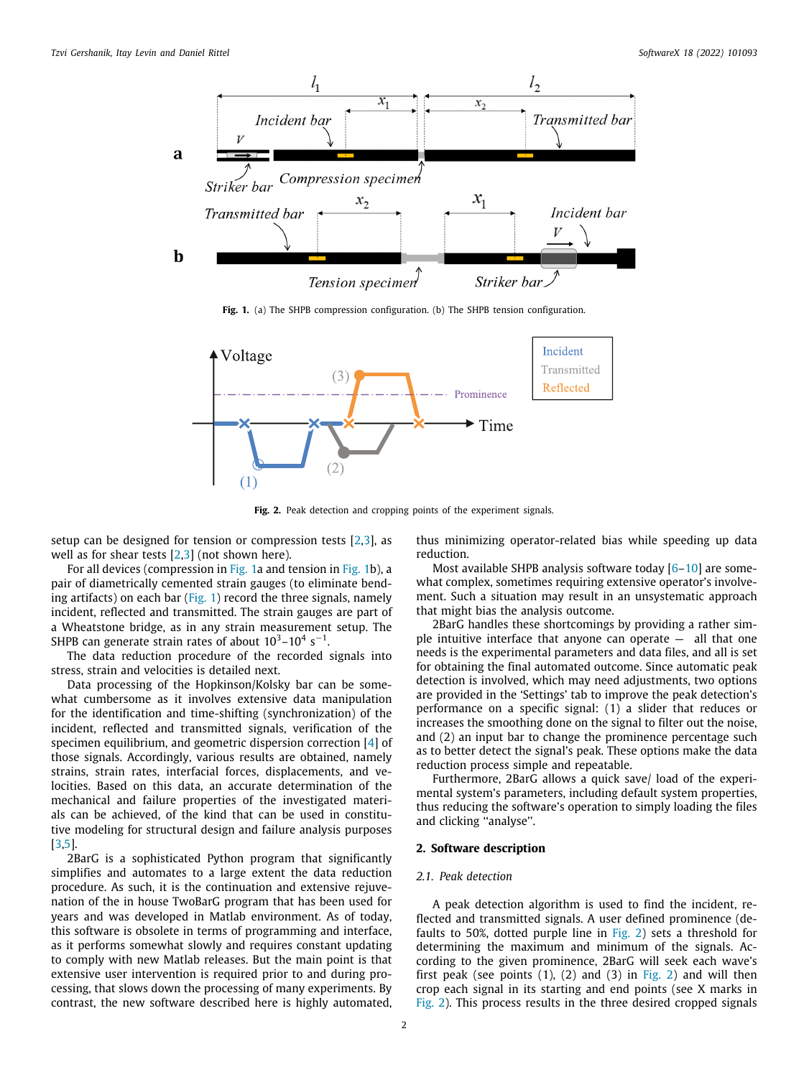

**Fig. 1.** (a) The SHPB compression configuration. (b) The SHPB tension configuration.

<span id="page-1-0"></span>

**Fig. 2.** Peak detection and cropping points of the experiment signals.

<span id="page-1-1"></span>setup can be designed for tension or compression tests  $[2,3]$  $[2,3]$ , as well as for shear tests [\[2](#page-5-1)[,3\]](#page-5-2) (not shown here).

For all devices (compression in [Fig.](#page-1-0) [1](#page-1-0)a and tension in [Fig.](#page-1-0) [1](#page-1-0)b), a pair of diametrically cemented strain gauges (to eliminate bend-ing artifacts) on each bar ([Fig.](#page-1-0) [1](#page-1-0)) record the three signals, namely incident, reflected and transmitted. The strain gauges are part of a Wheatstone bridge, as in any strain measurement setup. The SHPB can generate strain rates of about  $10^3 - 10^4$  s<sup>-1</sup>.

The data reduction procedure of the recorded signals into stress, strain and velocities is detailed next.

Data processing of the Hopkinson/Kolsky bar can be somewhat cumbersome as it involves extensive data manipulation for the identification and time-shifting (synchronization) of the incident, reflected and transmitted signals, verification of the specimen equilibrium, and geometric dispersion correction [[4\]](#page-5-3) of those signals. Accordingly, various results are obtained, namely strains, strain rates, interfacial forces, displacements, and velocities. Based on this data, an accurate determination of the mechanical and failure properties of the investigated materials can be achieved, of the kind that can be used in constitutive modeling for structural design and failure analysis purposes [[3](#page-5-2)[,5](#page-5-4)].

2BarG is a sophisticated Python program that significantly simplifies and automates to a large extent the data reduction procedure. As such, it is the continuation and extensive rejuvenation of the in house TwoBarG program that has been used for years and was developed in Matlab environment. As of today, this software is obsolete in terms of programming and interface, as it performs somewhat slowly and requires constant updating to comply with new Matlab releases. But the main point is that extensive user intervention is required prior to and during processing, that slows down the processing of many experiments. By contrast, the new software described here is highly automated,

thus minimizing operator-related bias while speeding up data reduction.

Most available SHPB analysis software today [[6–](#page-5-5)[10\]](#page-5-6) are somewhat complex, sometimes requiring extensive operator's involvement. Such a situation may result in an unsystematic approach that might bias the analysis outcome.

2BarG handles these shortcomings by providing a rather simple intuitive interface that anyone can operate  $-$  all that one needs is the experimental parameters and data files, and all is set for obtaining the final automated outcome. Since automatic peak detection is involved, which may need adjustments, two options are provided in the 'Settings' tab to improve the peak detection's performance on a specific signal: (1) a slider that reduces or increases the smoothing done on the signal to filter out the noise, and (2) an input bar to change the prominence percentage such as to better detect the signal's peak. These options make the data reduction process simple and repeatable.

Furthermore, 2BarG allows a quick save/ load of the experimental system's parameters, including default system properties, thus reducing the software's operation to simply loading the files and clicking "analyse".

#### **2. Software description**

## *2.1. Peak detection*

A peak detection algorithm is used to find the incident, reflected and transmitted signals. A user defined prominence (defaults to 50%, dotted purple line in [Fig.](#page-1-1) [2\)](#page-1-1) sets a threshold for determining the maximum and minimum of the signals. According to the given prominence, 2BarG will seek each wave's first peak (see points  $(1)$ ,  $(2)$  $(2)$  and  $(3)$  in [Fig.](#page-1-1) 2) and will then crop each signal in its starting and end points (see X marks in [Fig.](#page-1-1) [2\)](#page-1-1). This process results in the three desired cropped signals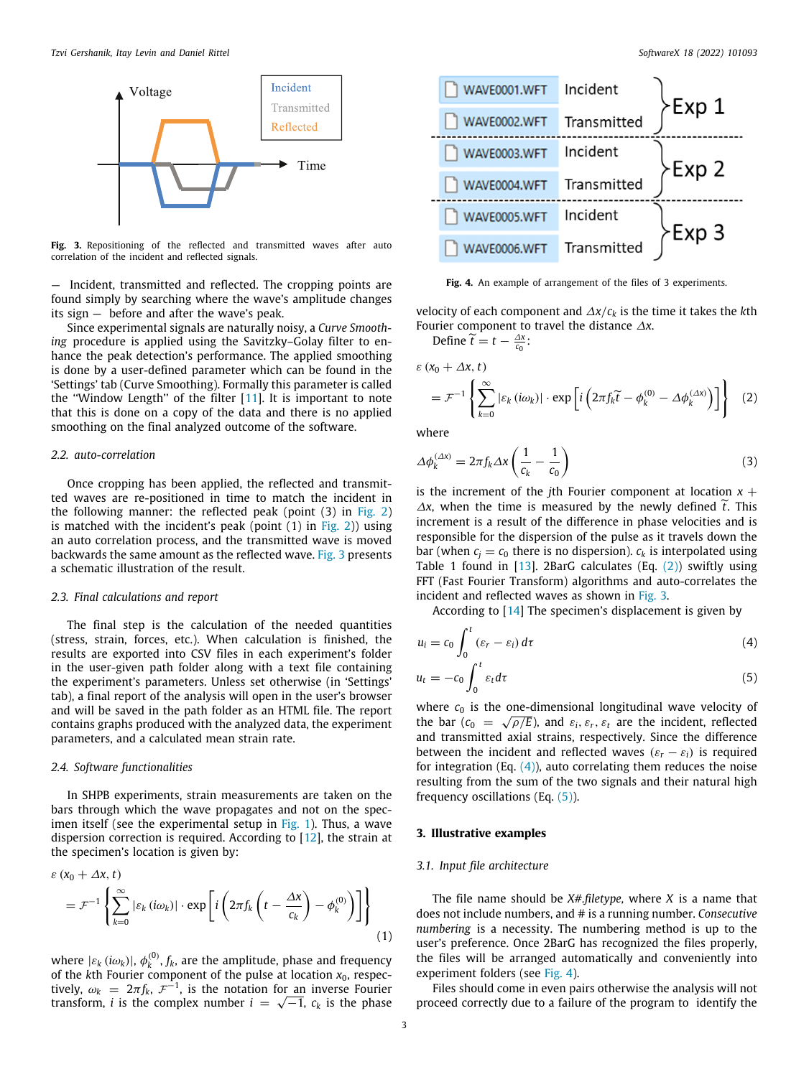

<span id="page-2-0"></span>Fig. 3. Repositioning of the reflected and transmitted waves after auto correlation of the incident and reflected signals.

— Incident, transmitted and reflected. The cropping points are found simply by searching where the wave's amplitude changes its sign — before and after the wave's peak.

Since experimental signals are naturally noisy, a *Curve Smoothing* procedure is applied using the Savitzky–Golay filter to enhance the peak detection's performance. The applied smoothing is done by a user-defined parameter which can be found in the 'Settings' tab (Curve Smoothing). Formally this parameter is called the "Window Length" of the filter  $[11]$ . It is important to note that this is done on a copy of the data and there is no applied smoothing on the final analyzed outcome of the software.

#### *2.2. auto-correlation*

Once cropping has been applied, the reflected and transmitted waves are re-positioned in time to match the incident in the following manner: the reflected peak (point (3) in [Fig.](#page-1-1) [2\)](#page-1-1) is matched with the incident's peak (point  $(1)$  in [Fig.](#page-1-1) [2](#page-1-1))) using an auto correlation process, and the transmitted wave is moved backwards the same amount as the reflected wave. [Fig.](#page-2-0) [3](#page-2-0) presents a schematic illustration of the result.

#### *2.3. Final calculations and report*

The final step is the calculation of the needed quantities (stress, strain, forces, etc.). When calculation is finished, the results are exported into CSV files in each experiment's folder in the user-given path folder along with a text file containing the experiment's parameters. Unless set otherwise (in 'Settings' tab), a final report of the analysis will open in the user's browser and will be saved in the path folder as an HTML file. The report contains graphs produced with the analyzed data, the experiment parameters, and a calculated mean strain rate.

#### *2.4. Software functionalities*

In SHPB experiments, strain measurements are taken on the bars through which the wave propagates and not on the spec-imen itself (see the experimental setup in [Fig.](#page-1-0) [1\)](#page-1-0). Thus, a wave dispersion correction is required. According to [[12](#page-5-8)], the strain at the specimen's location is given by:

$$
\varepsilon (x_0 + \Delta x, t)
$$
  
=  $\mathcal{F}^{-1} \left\{ \sum_{k=0}^{\infty} |\varepsilon_k (i\omega_k)| \cdot \exp \left[ i \left( 2\pi f_k \left( t - \frac{\Delta x}{c_k} \right) - \phi_k^{(0)} \right) \right] \right\}$  (1)

where  $|\varepsilon_k(i\omega_k)|$ ,  $\phi_k^{(0)}$ ,  $f_k$ , are the amplitude, phase and frequency of the  $k$ th Fourier component of the pulse at location  $x_0$ , respectively,  $\omega_k = 2\pi f_k$ ,  $\mathcal{F}^{-1}$ , is the notation for an inverse Fourier tively,  $\omega_k = 2\pi f_k$ ,  $\mathcal{F}^{-1}$ , is the notation for an inverse Fourier<br>transform, *i* is the complex number  $i = \sqrt{-1}$ ,  $c_k$  is the phase



<span id="page-2-4"></span>**Fig. 4.** An example of arrangement of the files of 3 experiments.

velocity of each component and ∆*x*/*c<sup>k</sup>* is the time it takes the *k*th Fourier component to travel the distance ∆*x*.

<span id="page-2-1"></span>Define  $\widetilde{t} = t - \frac{\Delta x}{c_0}$ :

$$
\varepsilon (x_0 + \Delta x, t)
$$
  
=  $\mathcal{F}^{-1} \left\{ \sum_{k=0}^{\infty} |\varepsilon_k (i\omega_k)| \cdot \exp \left[ i \left( 2\pi f_k \widetilde{t} - \phi_k^{(0)} - \Delta \phi_k^{(\Delta x)} \right) \right] \right\}$  (2)

where

$$
\Delta \phi_k^{(\Delta x)} = 2\pi f_k \Delta x \left(\frac{1}{c_k} - \frac{1}{c_0}\right) \tag{3}
$$

is the increment of the *i*th Fourier component at location  $x +$ <sup>∆</sup>*x*, when the time is measured by the newly defined ˜*t*. This increment is a result of the difference in phase velocities and is responsible for the dispersion of the pulse as it travels down the bar (when  $c_i = c_0$  there is no dispersion).  $c_k$  is interpolated using Table 1 found in  $[13]$  $[13]$  $[13]$ . [2](#page-2-1)BarG calculates (Eq.  $(2)$ ) swiftly using FFT (Fast Fourier Transform) algorithms and auto-correlates the incident and reflected waves as shown in [Fig.](#page-2-0) [3](#page-2-0).

<span id="page-2-3"></span><span id="page-2-2"></span>According to [\[14\]](#page-5-10) The specimen's displacement is given by

$$
u_i = c_0 \int_0^t (\varepsilon_r - \varepsilon_i) d\tau \tag{4}
$$

$$
u_t = -c_0 \int_0^t \varepsilon_t d\tau \tag{5}
$$

where  $c_0$  is the one-dimensional longitudinal wave velocity of the bar ( $c_0 = \sqrt{\rho/E}$ ), and  $\varepsilon_i$ ,  $\varepsilon_r$ ,  $\varepsilon_t$  are the incident, reflected and transmitted axial strains, respectively. Since the difference between the incident and reflected waves  $(\varepsilon_r - \varepsilon_i)$  is required for integration (Eq.  $(4)$ ), auto correlating them reduces the noise resulting from the sum of the two signals and their natural high frequency oscillations (Eq. ([5\)](#page-2-3)).

## **3. Illustrative examples**

### *3.1. Input file architecture*

The file name should be *X#.filetype,* where *X* is a name that does not include numbers, and # is a running number. *Consecutive numbering* is a necessity. The numbering method is up to the user's preference. Once 2BarG has recognized the files properly, the files will be arranged automatically and conveniently into experiment folders (see [Fig.](#page-2-4) [4\)](#page-2-4).

Files should come in even pairs otherwise the analysis will not proceed correctly due to a failure of the program to identify the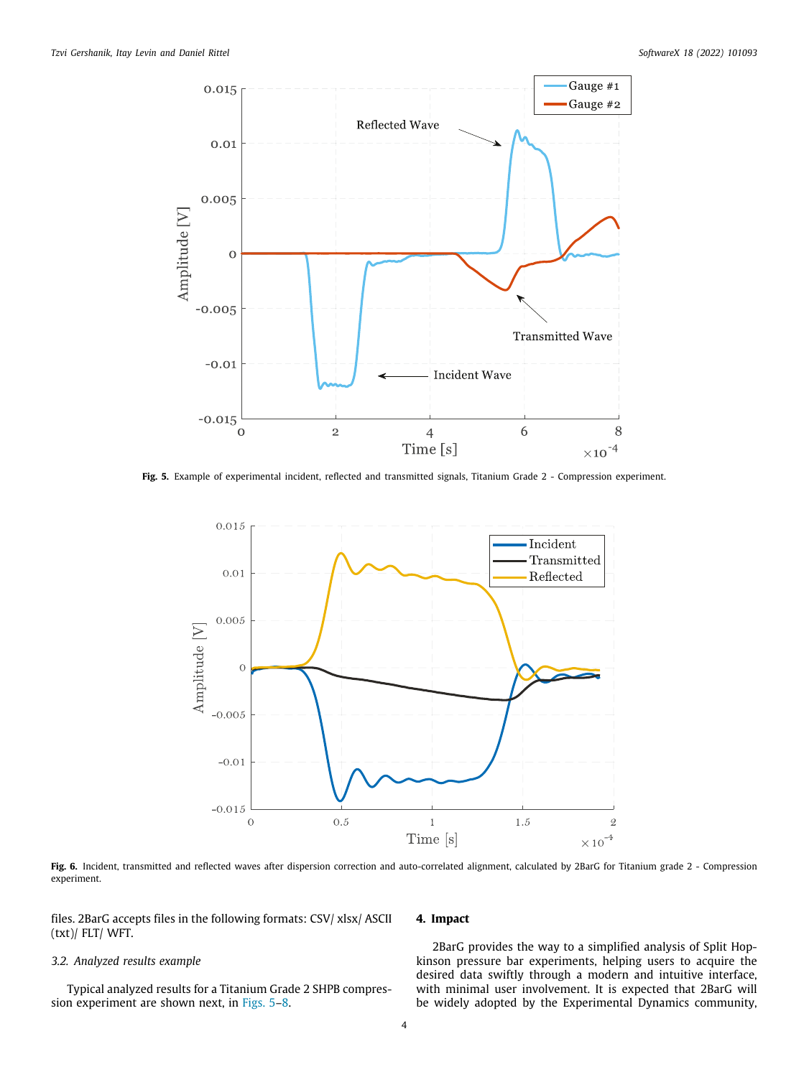

<span id="page-3-0"></span>**Fig. 5.** Example of experimental incident, reflected and transmitted signals, Titanium Grade 2 - Compression experiment.



Fig. 6. Incident, transmitted and reflected waves after dispersion correction and auto-correlated alignment, calculated by 2BarG for Titanium grade 2 - Compression experiment.

files. 2BarG accepts files in the following formats: CSV/ xlsx/ ASCII (txt)/ FLT/ WFT.

### *3.2. Analyzed results example*

Typical analyzed results for a Titanium Grade 2 SHPB compression experiment are shown next, in [Figs.](#page-3-0) [5–](#page-3-0)[8.](#page-4-0)

## **4. Impact**

2BarG provides the way to a simplified analysis of Split Hopkinson pressure bar experiments, helping users to acquire the desired data swiftly through a modern and intuitive interface, with minimal user involvement. It is expected that 2BarG will be widely adopted by the Experimental Dynamics community,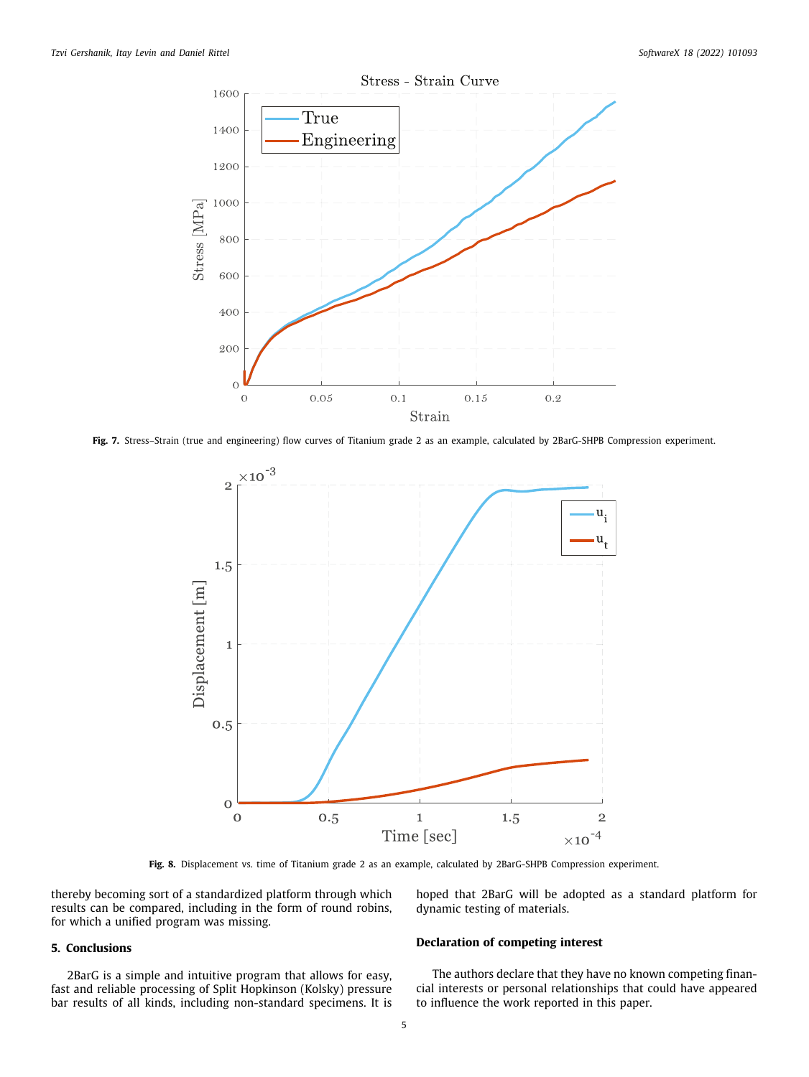

**Fig. 7.** Stress–Strain (true and engineering) flow curves of Titanium grade 2 as an example, calculated by 2BarG-SHPB Compression experiment.



**Fig. 8.** Displacement vs. time of Titanium grade 2 as an example, calculated by 2BarG-SHPB Compression experiment.

<span id="page-4-0"></span>thereby becoming sort of a standardized platform through which results can be compared, including in the form of round robins, for which a unified program was missing.

# **5. Conclusions**

2BarG is a simple and intuitive program that allows for easy, fast and reliable processing of Split Hopkinson (Kolsky) pressure bar results of all kinds, including non-standard specimens. It is hoped that 2BarG will be adopted as a standard platform for dynamic testing of materials.

#### **Declaration of competing interest**

The authors declare that they have no known competing financial interests or personal relationships that could have appeared to influence the work reported in this paper.